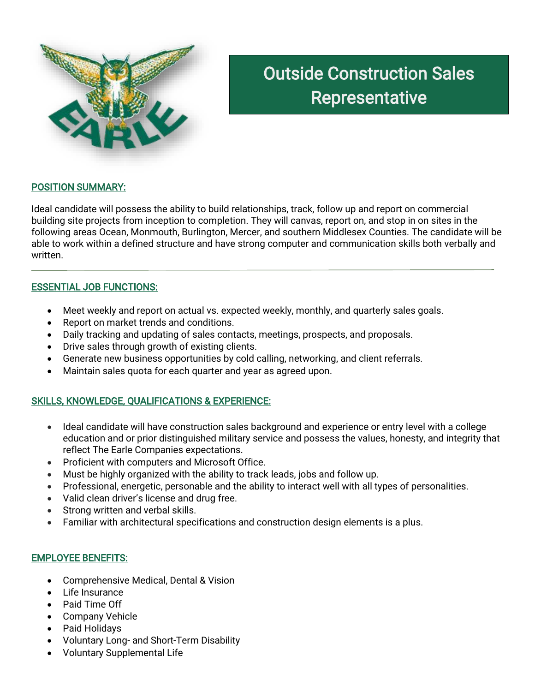

# Outside Construction Sales Representative

## POSITION SUMMARY:

Ideal candidate will possess the ability to build relationships, track, follow up and report on commercial building site projects from inception to completion. They will canvas, report on, and stop in on sites in the following areas Ocean, Monmouth, Burlington, Mercer, and southern Middlesex Counties. The candidate will be able to work within a defined structure and have strong computer and communication skills both verbally and written.

### ESSENTIAL JOB FUNCTIONS:

- Meet weekly and report on actual vs. expected weekly, monthly, and quarterly sales goals.
- Report on market trends and conditions.
- Daily tracking and updating of sales contacts, meetings, prospects, and proposals.
- Drive sales through growth of existing clients.
- Generate new business opportunities by cold calling, networking, and client referrals.
- Maintain sales quota for each quarter and year as agreed upon.

### SKILLS, KNOWLEDGE, QUALIFICATIONS & EXPERIENCE:

- Ideal candidate will have construction sales background and experience or entry level with a college education and or prior distinguished military service and possess the values, honesty, and integrity that reflect The Earle Companies expectations.
- Proficient with computers and Microsoft Office.
- Must be highly organized with the ability to track leads, jobs and follow up.
- Professional, energetic, personable and the ability to interact well with all types of personalities.
- Valid clean driver's license and drug free.
- Strong written and verbal skills.
- Familiar with architectural specifications and construction design elements is a plus.

### EMPLOYEE BENEFITS:

- Comprehensive Medical, Dental & Vision
- Life Insurance
- Paid Time Off
- Company Vehicle
- Paid Holidays
- Voluntary Long- and Short-Term Disability
- Voluntary Supplemental Life